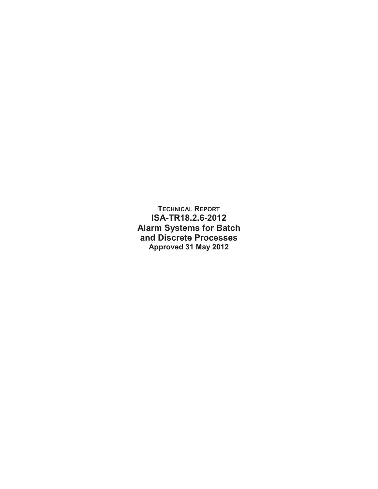**TECHNICAL REPORT ISA-TR18.2.6-2012 Alarm Systems for Batch and Discrete Processes Approved 31 May 2012**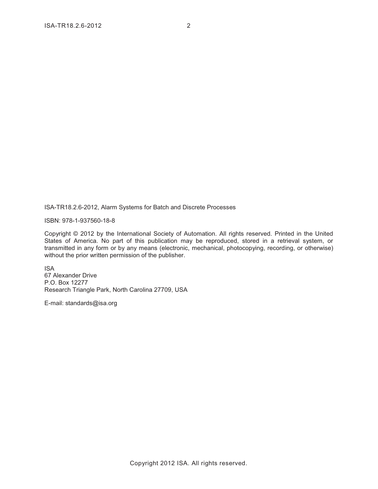ISA-TR18.2.6-2012, Alarm Systems for Batch and Discrete Processes

ISBN: 978-1-937560-18-8

Copyright © 2012 by the International Society of Automation. All rights reserved. Printed in the United States of America. No part of this publication may be reproduced, stored in a retrieval system, or transmitted in any form or by any means (electronic, mechanical, photocopying, recording, or otherwise) without the prior written permission of the publisher.

ISA 67 Alexander Drive P.O. Box 12277 Research Triangle Park, North Carolina 27709, USA

E-mail: standards@isa.org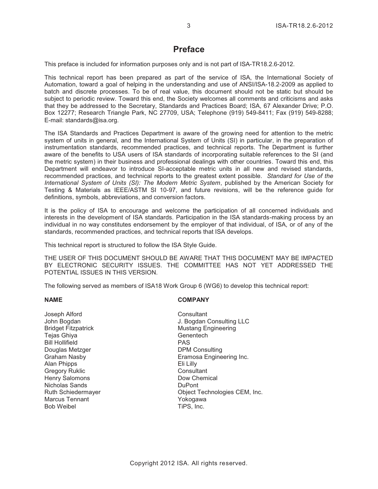# **Preface**

This preface is included for information purposes only and is not part of ISA-TR18.2.6-2012.

This technical report has been prepared as part of the service of ISA, the International Society of Automation, toward a goal of helping in the understanding and use of ANSI/ISA-18.2-2009 as applied to batch and discrete processes. To be of real value, this document should not be static but should be subject to periodic review. Toward this end, the Society welcomes all comments and criticisms and asks that they be addressed to the Secretary, Standards and Practices Board; ISA, 67 Alexander Drive; P.O. Box 12277; Research Triangle Park, NC 27709, USA; Telephone (919) 549-8411; Fax (919) 549-8288; E-mail: standards@isa.org.

The ISA Standards and Practices Department is aware of the growing need for attention to the metric system of units in general, and the International System of Units (SI) in particular, in the preparation of instrumentation standards, recommended practices, and technical reports. The Department is further aware of the benefits to USA users of ISA standards of incorporating suitable references to the SI (and the metric system) in their business and professional dealings with other countries. Toward this end, this Department will endeavor to introduce SI-acceptable metric units in all new and revised standards, recommended practices, and technical reports to the greatest extent possible. *Standard for Use of the International System of Units (SI): The Modern Metric System*, published by the American Society for Testing & Materials as IEEE/ASTM SI 10-97, and future revisions, will be the reference guide for definitions, symbols, abbreviations, and conversion factors.

It is the policy of ISA to encourage and welcome the participation of all concerned individuals and interests in the development of ISA standards. Participation in the ISA standards-making process by an individual in no way constitutes endorsement by the employer of that individual, of ISA, or of any of the standards, recommended practices, and technical reports that ISA develops.

This technical report is structured to follow the ISA Style Guide.

THE USER OF THIS DOCUMENT SHOULD BE AWARE THAT THIS DOCUMENT MAY BE IMPACTED BY ELECTRONIC SECURITY ISSUES. THE COMMITTEE HAS NOT YET ADDRESSED THE POTENTIAL ISSUES IN THIS VERSION.

The following served as members of ISA18 Work Group 6 (WG6) to develop this technical report:

#### **NAME COMPANY**

Joseph Alford Consultant Tejas Ghiya **Genentech** Bill Hollifield **PAS** Douglas Metzger **DPM Consulting** Alan Phipps **Eli** Lilly<br>Gregory Ruklic **Elizabeth Consultant** Gregory Ruklic Henry Salomons<br>
Nicholas Sands<br>
DuPont<br>
DuPont Nicholas Sands Marcus Tennant **Yokogawa** Bob Weibel **TipS**, Inc.

John Bogdan J. Bogdan Consulting LLC Bridget Fitzpatrick Mustang Engineering Graham Nasby **Eramosa Engineering Inc.**<br>Alan Phipps **Election** Eliteration Eliterations Ruth Schiedermayer **CEM, Inc.** Object Technologies CEM, Inc.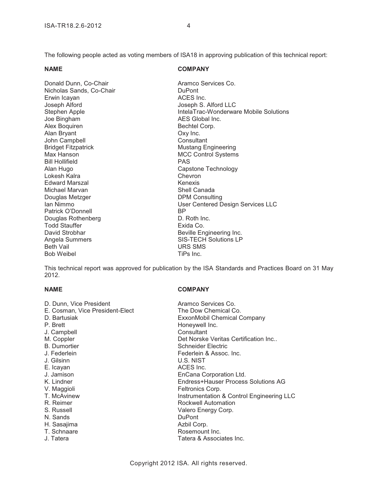The following people acted as voting members of ISA18 in approving publication of this technical report:

| NAME                                                                                                                                                                                                                                                                                                                                                                                                                                                                         | <b>COMPANY</b>                                                                                                                                                                                                                                                                                                                                                                                                                                                                                                        |
|------------------------------------------------------------------------------------------------------------------------------------------------------------------------------------------------------------------------------------------------------------------------------------------------------------------------------------------------------------------------------------------------------------------------------------------------------------------------------|-----------------------------------------------------------------------------------------------------------------------------------------------------------------------------------------------------------------------------------------------------------------------------------------------------------------------------------------------------------------------------------------------------------------------------------------------------------------------------------------------------------------------|
| Donald Dunn, Co-Chair<br>Nicholas Sands, Co-Chair<br>Erwin Icayan<br>Joseph Alford<br>Stephen Apple<br>Joe Bingham<br>Alex Boquiren<br>Alan Bryant<br>John Campbell<br><b>Bridget Fitzpatrick</b><br>Max Hanson<br><b>Bill Hollifield</b><br>Alan Hugo<br>Lokesh Kalra<br><b>Edward Marszal</b><br>Michael Marvan<br>Douglas Metzger<br>lan Nimmo<br>Patrick O'Donnell<br>Douglas Rothenberg<br><b>Todd Stauffer</b><br>David Strobhar<br>Angela Summers<br><b>Beth Vail</b> | Aramco Services Co.<br><b>DuPont</b><br>ACES Inc.<br>Joseph S. Alford LLC<br>IntelaTrac-Wonderware Mobile Solutions<br>AES Global Inc.<br>Bechtel Corp.<br>Oxy Inc.<br>Consultant<br><b>Mustang Engineering</b><br><b>MCC Control Systems</b><br><b>PAS</b><br>Capstone Technology<br>Chevron<br>Kenexis<br>Shell Canada<br><b>DPM Consulting</b><br><b>User Centered Design Services LLC</b><br><b>BP</b><br>D. Roth Inc.<br>Exida Co.<br>Beville Engineering Inc.<br><b>SIS-TECH Solutions LP</b><br><b>URS SMS</b> |
| <b>Bob Weibel</b>                                                                                                                                                                                                                                                                                                                                                                                                                                                            | TiPs Inc.                                                                                                                                                                                                                                                                                                                                                                                                                                                                                                             |

This technical report was approved for publication by the ISA Standards and Practices Board on 31 May 2012.

### **NAME COMPANY**

| D. Dunn, Vice President         | Aramco Services Co.                       |
|---------------------------------|-------------------------------------------|
| E. Cosman, Vice President-Elect | The Dow Chemical Co.                      |
| D. Bartusiak                    | ExxonMobil Chemical Company               |
| P. Brett                        | Honeywell Inc.                            |
| J. Campbell                     | Consultant                                |
| M. Coppler                      | Det Norske Veritas Certification Inc      |
| <b>B.</b> Dumortier             | Schneider Electric                        |
| J. Federlein                    | Federlein & Assoc. Inc.                   |
| J. Gilsinn                      | U.S. NIST                                 |
| E. Icayan                       | ACES Inc.                                 |
| J. Jamison                      | EnCana Corporation Ltd.                   |
| K. Lindner                      | Endress+Hauser Process Solutions AG       |
| V. Maggioli                     | Feltronics Corp.                          |
| T. McAvinew                     | Instrumentation & Control Engineering LLC |
| R. Reimer                       | Rockwell Automation                       |
| S. Russell                      | Valero Energy Corp.                       |
| N. Sands                        | <b>DuPont</b>                             |
| H. Sasajima                     | Azbil Corp.                               |
| T. Schnaare                     | Rosemount Inc.                            |
| J. Tatera                       | Tatera & Associates Inc.                  |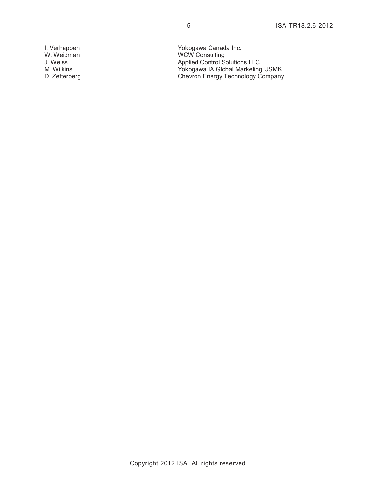I. Verhappen **Yokogawa Canada Inc.**<br>
W. Weidman **W. W. WOW Consulting** W. Weidman Management Consulting WCW Consulting J. Weiss **Applied Control Solutions LLC** M. Wilkins M. Wilkins (M. Wilkins M. Wilkins M. Wilkins Musculinus Chevron Energy Technology Company Chevron Energy Technology Company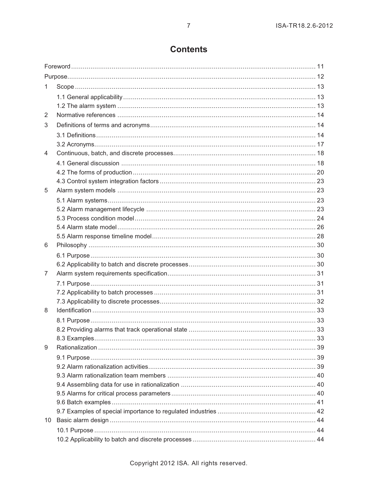# **Contents**

| 1. |  |  |  |
|----|--|--|--|
|    |  |  |  |
|    |  |  |  |
| 2  |  |  |  |
| 3  |  |  |  |
|    |  |  |  |
|    |  |  |  |
| 4  |  |  |  |
|    |  |  |  |
|    |  |  |  |
|    |  |  |  |
| 5  |  |  |  |
|    |  |  |  |
|    |  |  |  |
|    |  |  |  |
|    |  |  |  |
|    |  |  |  |
| 6  |  |  |  |
|    |  |  |  |
|    |  |  |  |
| 7  |  |  |  |
|    |  |  |  |
|    |  |  |  |
|    |  |  |  |
| 8  |  |  |  |
|    |  |  |  |
|    |  |  |  |
|    |  |  |  |
| 9  |  |  |  |
|    |  |  |  |
|    |  |  |  |
|    |  |  |  |
|    |  |  |  |
|    |  |  |  |
|    |  |  |  |
|    |  |  |  |
| 10 |  |  |  |
|    |  |  |  |
|    |  |  |  |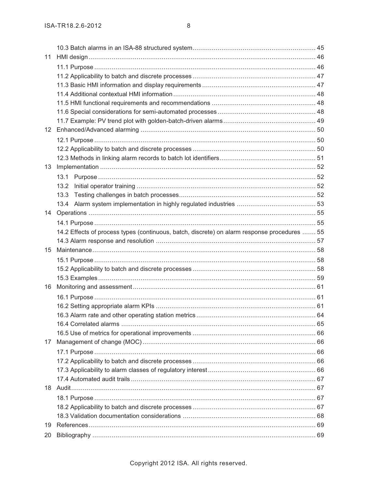| 11               |                                                                                              |  |
|------------------|----------------------------------------------------------------------------------------------|--|
|                  |                                                                                              |  |
|                  |                                                                                              |  |
|                  |                                                                                              |  |
|                  |                                                                                              |  |
|                  |                                                                                              |  |
|                  |                                                                                              |  |
|                  |                                                                                              |  |
| 12 <sup>12</sup> |                                                                                              |  |
|                  |                                                                                              |  |
|                  |                                                                                              |  |
|                  |                                                                                              |  |
|                  |                                                                                              |  |
| 13               |                                                                                              |  |
|                  | 13.1                                                                                         |  |
|                  | 13.2                                                                                         |  |
|                  | 13.3                                                                                         |  |
|                  |                                                                                              |  |
| 14               |                                                                                              |  |
|                  |                                                                                              |  |
|                  | 14.2 Effects of process types (continuous, batch, discrete) on alarm response procedures  55 |  |
|                  |                                                                                              |  |
| 15               |                                                                                              |  |
|                  |                                                                                              |  |
|                  |                                                                                              |  |
|                  |                                                                                              |  |
| 16               |                                                                                              |  |
|                  |                                                                                              |  |
|                  |                                                                                              |  |
|                  |                                                                                              |  |
|                  |                                                                                              |  |
|                  |                                                                                              |  |
| 17               |                                                                                              |  |
|                  |                                                                                              |  |
|                  |                                                                                              |  |
|                  |                                                                                              |  |
|                  |                                                                                              |  |
|                  |                                                                                              |  |
|                  |                                                                                              |  |
|                  |                                                                                              |  |
|                  |                                                                                              |  |
| 19               |                                                                                              |  |
| 20               |                                                                                              |  |
|                  |                                                                                              |  |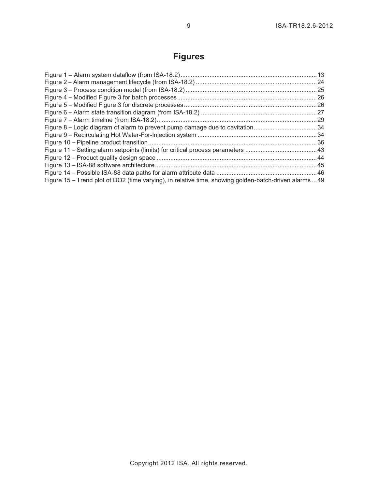# **Figures**

| Figure 8 – Logic diagram of alarm to prevent pump damage due to cavitation34                           |  |
|--------------------------------------------------------------------------------------------------------|--|
|                                                                                                        |  |
|                                                                                                        |  |
|                                                                                                        |  |
|                                                                                                        |  |
|                                                                                                        |  |
|                                                                                                        |  |
| Figure 15 - Trend plot of DO2 (time varying), in relative time, showing golden-batch-driven alarms  49 |  |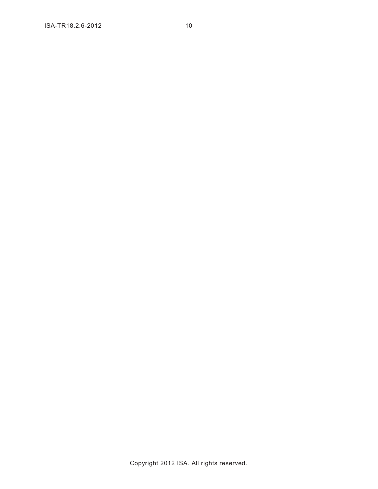Copyright 2012 ISA. All rights reserved.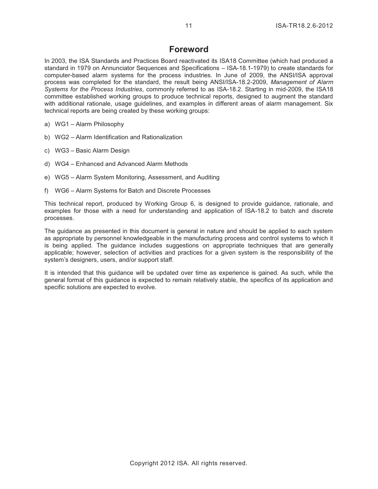## **Foreword**

In 2003, the ISA Standards and Practices Board reactivated its ISA18 Committee (which had produced a standard in 1979 on Annunciator Sequences and Specifications – ISA-18.1-1979) to create standards for computer-based alarm systems for the process industries. In June of 2009, the ANSI/ISA approval process was completed for the standard, the result being ANSI/ISA-18.2-2009, *Management of Alarm Systems for the Process Industries*, commonly referred to as ISA-18.2. Starting in mid-2009, the ISA18 committee established working groups to produce technical reports, designed to augment the standard with additional rationale, usage guidelines, and examples in different areas of alarm management. Six technical reports are being created by these working groups:

- a) WG1 Alarm Philosophy
- b) WG2 Alarm Identification and Rationalization
- c) WG3 Basic Alarm Design
- d) WG4 Enhanced and Advanced Alarm Methods
- e) WG5 Alarm System Monitoring, Assessment, and Auditing
- f) WG6 Alarm Systems for Batch and Discrete Processes

This technical report, produced by Working Group 6, is designed to provide guidance, rationale, and examples for those with a need for understanding and application of ISA-18.2 to batch and discrete processes.

The guidance as presented in this document is general in nature and should be applied to each system as appropriate by personnel knowledgeable in the manufacturing process and control systems to which it is being applied. The guidance includes suggestions on appropriate techniques that are generally applicable; however, selection of activities and practices for a given system is the responsibility of the system's designers, users, and/or support staff.

It is intended that this guidance will be updated over time as experience is gained. As such, while the general format of this guidance is expected to remain relatively stable, the specifics of its application and specific solutions are expected to evolve.